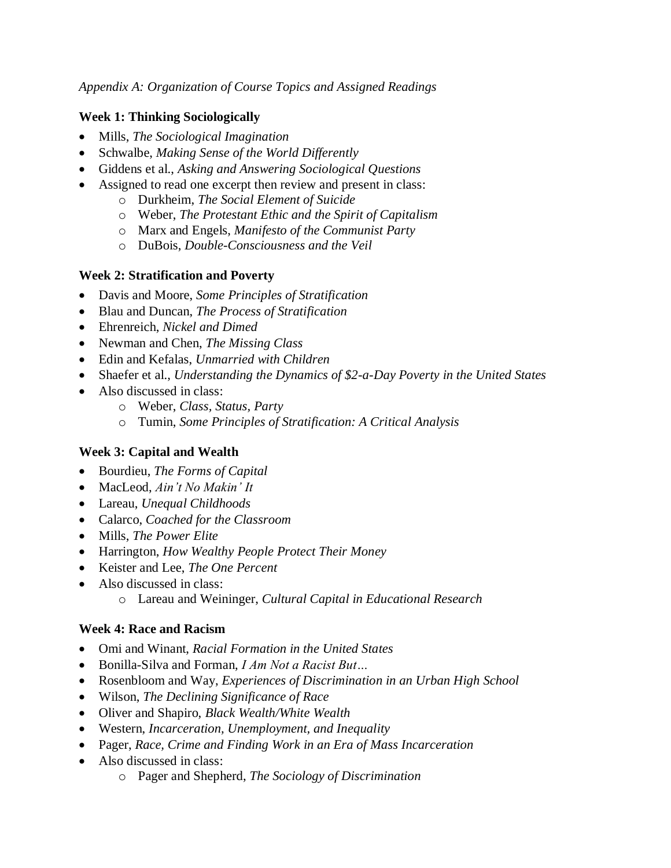*Appendix A: Organization of Course Topics and Assigned Readings*

### **Week 1: Thinking Sociologically**

- Mills, *The Sociological Imagination*
- Schwalbe, *Making Sense of the World Differently*
- Giddens et al., *Asking and Answering Sociological Questions*
- Assigned to read one excerpt then review and present in class:
	- o Durkheim, *The Social Element of Suicide*
	- o Weber, *The Protestant Ethic and the Spirit of Capitalism*
	- o Marx and Engels, *Manifesto of the Communist Party*
	- o DuBois, *Double-Consciousness and the Veil*

# **Week 2: Stratification and Poverty**

- Davis and Moore, *Some Principles of Stratification*
- Blau and Duncan, *The Process of Stratification*
- Ehrenreich, *Nickel and Dimed*
- Newman and Chen, *The Missing Class*
- Edin and Kefalas, *Unmarried with Children*
- Shaefer et al., *Understanding the Dynamics of \$2-a-Day Poverty in the United States*
- Also discussed in class:
	- o Weber, *Class, Status, Party*
	- o Tumin, *Some Principles of Stratification: A Critical Analysis*

# **Week 3: Capital and Wealth**

- Bourdieu, *The Forms of Capital*
- MacLeod, *Ain't No Makin' It*
- Lareau, *Unequal Childhoods*
- Calarco, *Coached for the Classroom*
- Mills, *The Power Elite*
- Harrington, *How Wealthy People Protect Their Money*
- Keister and Lee, *The One Percent*
- Also discussed in class:
	- o Lareau and Weininger, *Cultural Capital in Educational Research*

# **Week 4: Race and Racism**

- Omi and Winant, *Racial Formation in the United States*
- Bonilla-Silva and Forman, *I Am Not a Racist But…*
- Rosenbloom and Way, *Experiences of Discrimination in an Urban High School*
- Wilson, *The Declining Significance of Race*
- Oliver and Shapiro, *Black Wealth/White Wealth*
- Western, *Incarceration, Unemployment, and Inequality*
- Pager, *Race, Crime and Finding Work in an Era of Mass Incarceration*
- Also discussed in class:
	- o Pager and Shepherd, *The Sociology of Discrimination*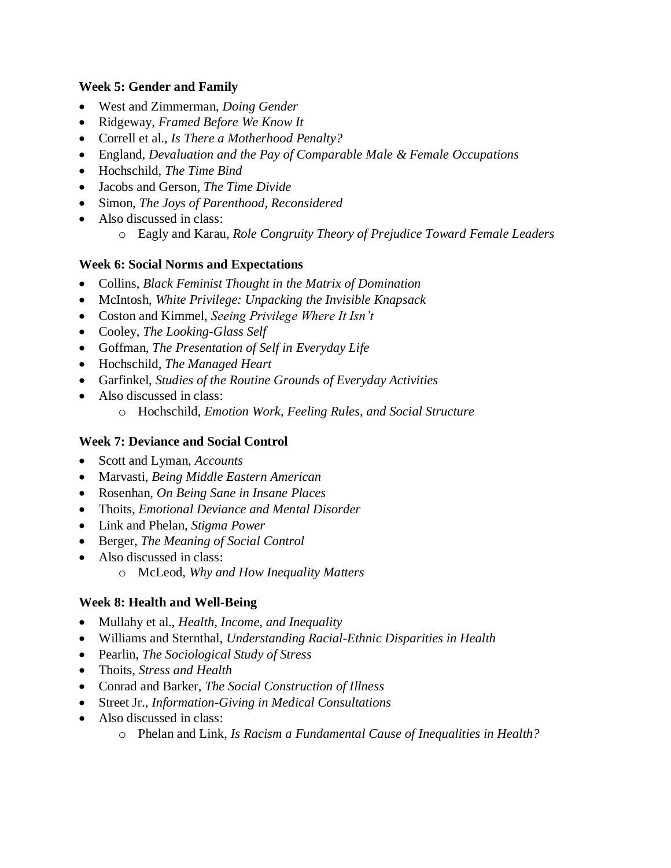### **Week 5: Gender and Family**

- West and Zimmerman, *Doing Gender*
- Ridgeway, *Framed Before We Know It*
- Correll et al., *Is There a Motherhood Penalty?*
- England, *Devaluation and the Pay of Comparable Male & Female Occupations*
- Hochschild, *The Time Bind*
- Jacobs and Gerson*, The Time Divide*
- Simon, *The Joys of Parenthood, Reconsidered*
- Also discussed in class:
	- o Eagly and Karau, *Role Congruity Theory of Prejudice Toward Female Leaders*

### **Week 6: Social Norms and Expectations**

- Collins, *Black Feminist Thought in the Matrix of Domination*
- McIntosh, *White Privilege: Unpacking the Invisible Knapsack*
- Coston and Kimmel, *Seeing Privilege Where It Isn't*
- Cooley, *The Looking-Glass Self*
- Goffman, *The Presentation of Self in Everyday Life*
- Hochschild*, The Managed Heart*
- Garfinkel*, Studies of the Routine Grounds of Everyday Activities*
- Also discussed in class: o Hochschild, *Emotion Work, Feeling Rules, and Social Structure*

### **Week 7: Deviance and Social Control**

- Scott and Lyman, *Accounts*
- Marvasti, *Being Middle Eastern American*
- Rosenhan, *On Being Sane in Insane Places*
- Thoits, *Emotional Deviance and Mental Disorder*
- Link and Phelan, *Stigma Power*
- Berger, *The Meaning of Social Control*
- Also discussed in class:
	- o McLeod, *Why and How Inequality Matters*

# **Week 8: Health and Well-Being**

- Mullahy et al., *Health, Income, and Inequality*
- Williams and Sternthal, *Understanding Racial-Ethnic Disparities in Health*
- Pearlin, *The Sociological Study of Stress*
- Thoits, *Stress and Health*
- Conrad and Barker, *The Social Construction of Illness*
- Street Jr., *Information-Giving in Medical Consultations*
- Also discussed in class:
	- o Phelan and Link, *Is Racism a Fundamental Cause of Inequalities in Health?*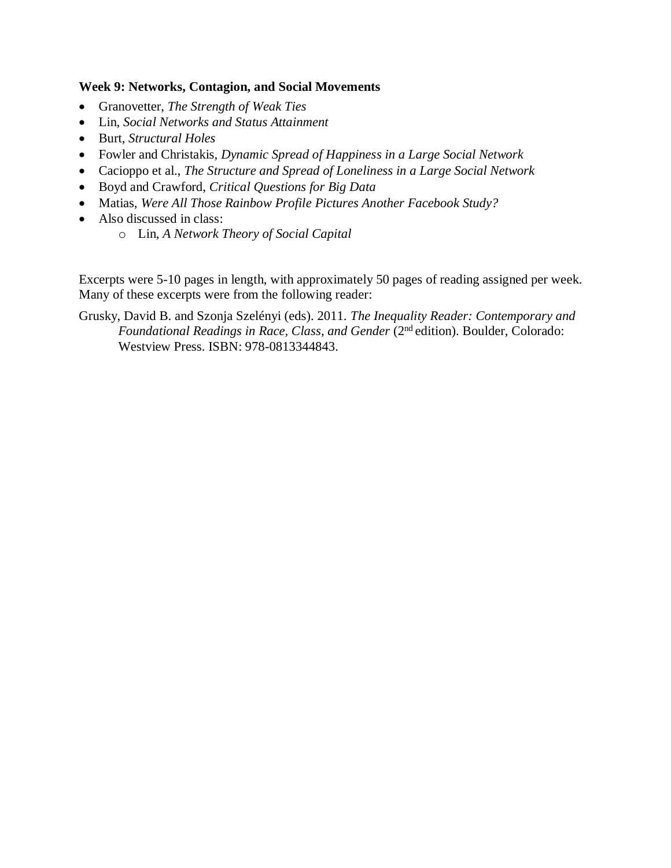#### **Week 9: Networks, Contagion, and Social Movements**

- Granovetter, *The Strength of Weak Ties*
- Lin, *Social Networks and Status Attainment*
- Burt, *Structural Holes*
- Fowler and Christakis, *Dynamic Spread of Happiness in a Large Social Network*
- Cacioppo et al., *The Structure and Spread of Loneliness in a Large Social Network*
- Boyd and Crawford, *Critical Questions for Big Data*
- Matias, *Were All Those Rainbow Profile Pictures Another Facebook Study?*
- Also discussed in class:
	- o Lin, *A Network Theory of Social Capital*

Excerpts were 5-10 pages in length, with approximately 50 pages of reading assigned per week. Many of these excerpts were from the following reader:

Grusky, David B. and Szonja Szelényi (eds). 2011. *The Inequality Reader: Contemporary and Foundational Readings in Race, Class, and Gender* (2nd edition). Boulder, Colorado: Westview Press. ISBN: 978-0813344843.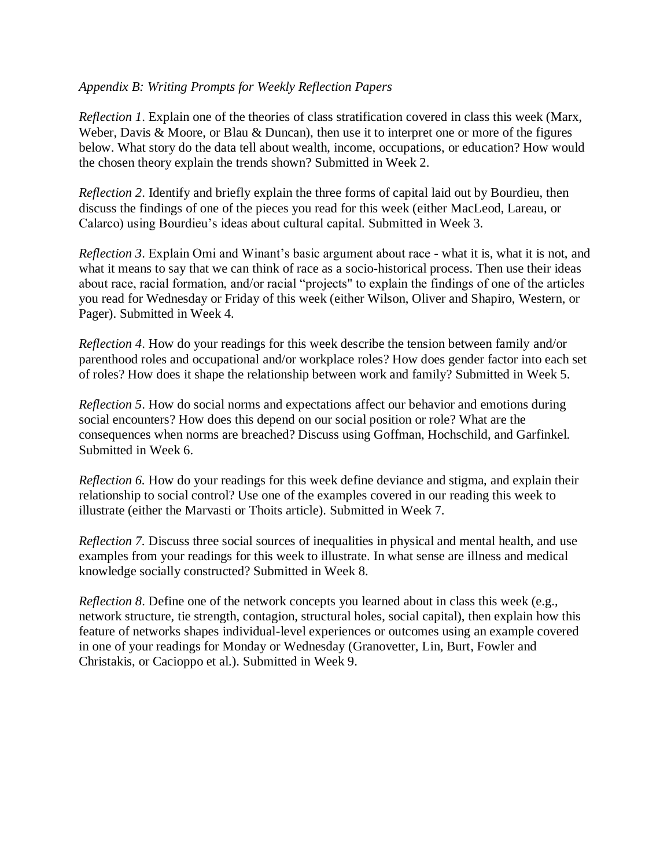#### *Appendix B: Writing Prompts for Weekly Reflection Papers*

*Reflection 1*. Explain one of the theories of class stratification covered in class this week (Marx, Weber, Davis & Moore, or Blau & Duncan), then use it to interpret one or more of the figures below. What story do the data tell about wealth, income, occupations, or education? How would the chosen theory explain the trends shown? Submitted in Week 2.

*Reflection 2*. Identify and briefly explain the three forms of capital laid out by Bourdieu, then discuss the findings of one of the pieces you read for this week (either MacLeod, Lareau, or Calarco) using Bourdieu's ideas about cultural capital. Submitted in Week 3.

*Reflection 3*. Explain Omi and Winant's basic argument about race - what it is, what it is not, and what it means to say that we can think of race as a socio-historical process. Then use their ideas about race, racial formation, and/or racial "projects" to explain the findings of one of the articles you read for Wednesday or Friday of this week (either Wilson, Oliver and Shapiro, Western, or Pager). Submitted in Week 4.

*Reflection 4*. How do your readings for this week describe the tension between family and/or parenthood roles and occupational and/or workplace roles? How does gender factor into each set of roles? How does it shape the relationship between work and family? Submitted in Week 5.

*Reflection 5*. How do social norms and expectations affect our behavior and emotions during social encounters? How does this depend on our social position or role? What are the consequences when norms are breached? Discuss using Goffman, Hochschild, and Garfinkel. Submitted in Week 6.

*Reflection 6.* How do your readings for this week define deviance and stigma, and explain their relationship to social control? Use one of the examples covered in our reading this week to illustrate (either the Marvasti or Thoits article). Submitted in Week 7.

*Reflection 7.* Discuss three social sources of inequalities in physical and mental health, and use examples from your readings for this week to illustrate. In what sense are illness and medical knowledge socially constructed? Submitted in Week 8.

*Reflection 8*. Define one of the network concepts you learned about in class this week (e.g., network structure, tie strength, contagion, structural holes, social capital), then explain how this feature of networks shapes individual-level experiences or outcomes using an example covered in one of your readings for Monday or Wednesday (Granovetter, Lin, Burt, Fowler and Christakis, or Cacioppo et al.). Submitted in Week 9.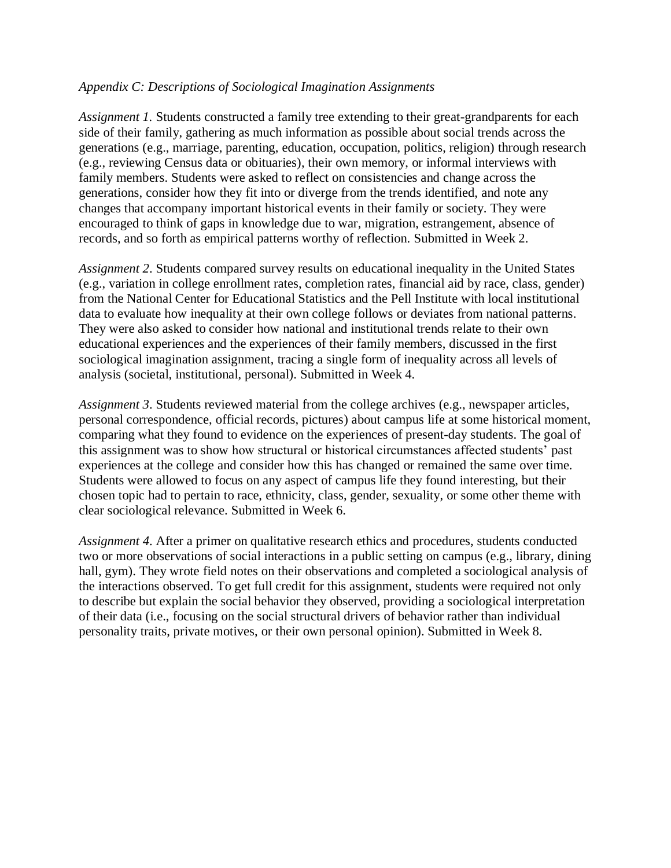#### *Appendix C: Descriptions of Sociological Imagination Assignments*

*Assignment 1.* Students constructed a family tree extending to their great-grandparents for each side of their family, gathering as much information as possible about social trends across the generations (e.g., marriage, parenting, education, occupation, politics, religion) through research (e.g., reviewing Census data or obituaries), their own memory, or informal interviews with family members. Students were asked to reflect on consistencies and change across the generations, consider how they fit into or diverge from the trends identified, and note any changes that accompany important historical events in their family or society. They were encouraged to think of gaps in knowledge due to war, migration, estrangement, absence of records, and so forth as empirical patterns worthy of reflection. Submitted in Week 2.

*Assignment 2*. Students compared survey results on educational inequality in the United States (e.g., variation in college enrollment rates, completion rates, financial aid by race, class, gender) from the National Center for Educational Statistics and the Pell Institute with local institutional data to evaluate how inequality at their own college follows or deviates from national patterns. They were also asked to consider how national and institutional trends relate to their own educational experiences and the experiences of their family members, discussed in the first sociological imagination assignment, tracing a single form of inequality across all levels of analysis (societal, institutional, personal). Submitted in Week 4.

*Assignment 3*. Students reviewed material from the college archives (e.g., newspaper articles, personal correspondence, official records, pictures) about campus life at some historical moment, comparing what they found to evidence on the experiences of present-day students. The goal of this assignment was to show how structural or historical circumstances affected students' past experiences at the college and consider how this has changed or remained the same over time. Students were allowed to focus on any aspect of campus life they found interesting, but their chosen topic had to pertain to race, ethnicity, class, gender, sexuality, or some other theme with clear sociological relevance. Submitted in Week 6.

*Assignment 4*. After a primer on qualitative research ethics and procedures, students conducted two or more observations of social interactions in a public setting on campus (e.g., library, dining hall, gym). They wrote field notes on their observations and completed a sociological analysis of the interactions observed. To get full credit for this assignment, students were required not only to describe but explain the social behavior they observed, providing a sociological interpretation of their data (i.e., focusing on the social structural drivers of behavior rather than individual personality traits, private motives, or their own personal opinion). Submitted in Week 8.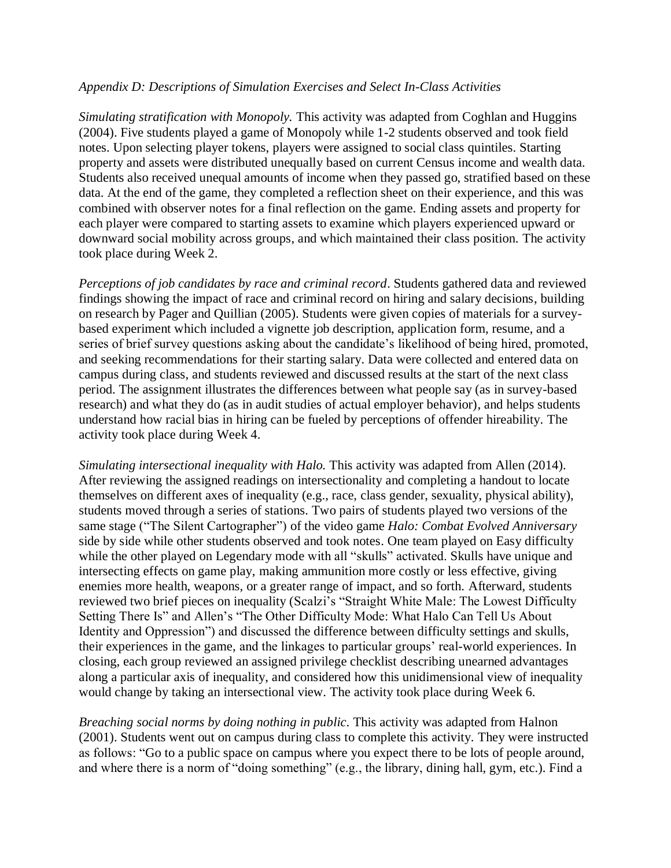### *Appendix D: Descriptions of Simulation Exercises and Select In-Class Activities*

*Simulating stratification with Monopoly.* This activity was adapted from Coghlan and Huggins (2004). Five students played a game of Monopoly while 1-2 students observed and took field notes. Upon selecting player tokens, players were assigned to social class quintiles. Starting property and assets were distributed unequally based on current Census income and wealth data. Students also received unequal amounts of income when they passed go, stratified based on these data. At the end of the game, they completed a reflection sheet on their experience, and this was combined with observer notes for a final reflection on the game. Ending assets and property for each player were compared to starting assets to examine which players experienced upward or downward social mobility across groups, and which maintained their class position. The activity took place during Week 2.

*Perceptions of job candidates by race and criminal record*. Students gathered data and reviewed findings showing the impact of race and criminal record on hiring and salary decisions, building on research by Pager and Quillian (2005). Students were given copies of materials for a surveybased experiment which included a vignette job description, application form, resume, and a series of brief survey questions asking about the candidate's likelihood of being hired, promoted, and seeking recommendations for their starting salary. Data were collected and entered data on campus during class, and students reviewed and discussed results at the start of the next class period. The assignment illustrates the differences between what people say (as in survey-based research) and what they do (as in audit studies of actual employer behavior), and helps students understand how racial bias in hiring can be fueled by perceptions of offender hireability. The activity took place during Week 4.

*Simulating intersectional inequality with Halo.* This activity was adapted from Allen (2014). After reviewing the assigned readings on intersectionality and completing a handout to locate themselves on different axes of inequality (e.g., race, class gender, sexuality, physical ability), students moved through a series of stations. Two pairs of students played two versions of the same stage ("The Silent Cartographer") of the video game *Halo: Combat Evolved Anniversary* side by side while other students observed and took notes. One team played on Easy difficulty while the other played on Legendary mode with all "skulls" activated. Skulls have unique and intersecting effects on game play, making ammunition more costly or less effective, giving enemies more health, weapons, or a greater range of impact, and so forth. Afterward, students reviewed two brief pieces on inequality (Scalzi's "Straight White Male: The Lowest Difficulty Setting There Is" and Allen's "The Other Difficulty Mode: What Halo Can Tell Us About Identity and Oppression") and discussed the difference between difficulty settings and skulls, their experiences in the game, and the linkages to particular groups' real-world experiences. In closing, each group reviewed an assigned privilege checklist describing unearned advantages along a particular axis of inequality, and considered how this unidimensional view of inequality would change by taking an intersectional view. The activity took place during Week 6.

*Breaching social norms by doing nothing in public*. This activity was adapted from Halnon (2001). Students went out on campus during class to complete this activity. They were instructed as follows: "Go to a public space on campus where you expect there to be lots of people around, and where there is a norm of "doing something" (e.g., the library, dining hall, gym, etc.). Find a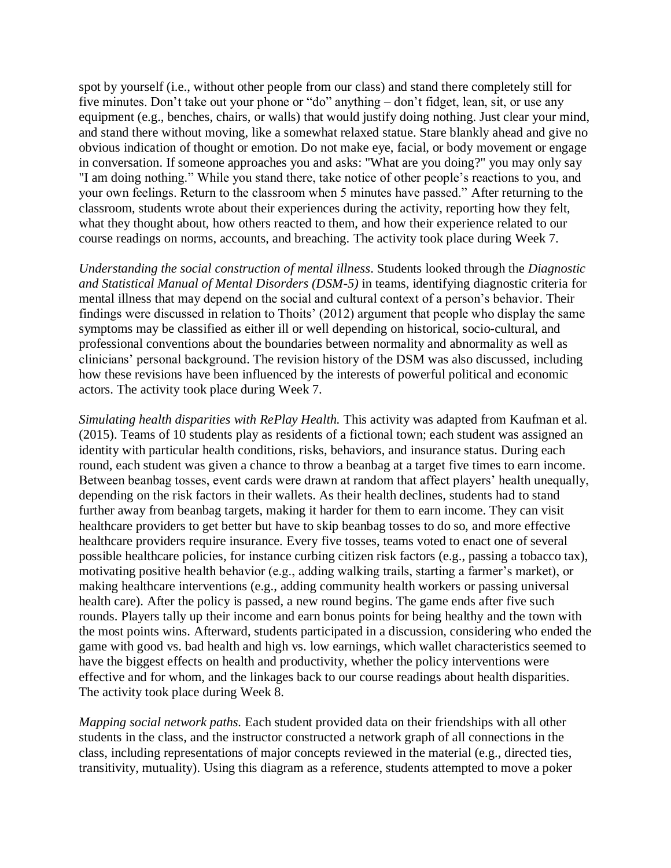spot by yourself (i.e., without other people from our class) and stand there completely still for five minutes. Don't take out your phone or "do" anything – don't fidget, lean, sit, or use any equipment (e.g., benches, chairs, or walls) that would justify doing nothing. Just clear your mind, and stand there without moving, like a somewhat relaxed statue. Stare blankly ahead and give no obvious indication of thought or emotion. Do not make eye, facial, or body movement or engage in conversation. If someone approaches you and asks: "What are you doing?" you may only say "I am doing nothing." While you stand there, take notice of other people's reactions to you, and your own feelings. Return to the classroom when 5 minutes have passed." After returning to the classroom, students wrote about their experiences during the activity, reporting how they felt, what they thought about, how others reacted to them, and how their experience related to our course readings on norms, accounts, and breaching. The activity took place during Week 7.

*Understanding the social construction of mental illness*. Students looked through the *Diagnostic and Statistical Manual of Mental Disorders (DSM-5)* in teams, identifying diagnostic criteria for mental illness that may depend on the social and cultural context of a person's behavior. Their findings were discussed in relation to Thoits' (2012) argument that people who display the same symptoms may be classified as either ill or well depending on historical, socio-cultural, and professional conventions about the boundaries between normality and abnormality as well as clinicians' personal background. The revision history of the DSM was also discussed, including how these revisions have been influenced by the interests of powerful political and economic actors. The activity took place during Week 7.

*Simulating health disparities with RePlay Health.* This activity was adapted from Kaufman et al. (2015). Teams of 10 students play as residents of a fictional town; each student was assigned an identity with particular health conditions, risks, behaviors, and insurance status. During each round, each student was given a chance to throw a beanbag at a target five times to earn income. Between beanbag tosses, event cards were drawn at random that affect players' health unequally, depending on the risk factors in their wallets. As their health declines, students had to stand further away from beanbag targets, making it harder for them to earn income. They can visit healthcare providers to get better but have to skip beanbag tosses to do so, and more effective healthcare providers require insurance. Every five tosses, teams voted to enact one of several possible healthcare policies, for instance curbing citizen risk factors (e.g., passing a tobacco tax), motivating positive health behavior (e.g., adding walking trails, starting a farmer's market), or making healthcare interventions (e.g., adding community health workers or passing universal health care). After the policy is passed, a new round begins. The game ends after five such rounds. Players tally up their income and earn bonus points for being healthy and the town with the most points wins. Afterward, students participated in a discussion, considering who ended the game with good vs. bad health and high vs. low earnings, which wallet characteristics seemed to have the biggest effects on health and productivity, whether the policy interventions were effective and for whom, and the linkages back to our course readings about health disparities. The activity took place during Week 8.

*Mapping social network paths.* Each student provided data on their friendships with all other students in the class, and the instructor constructed a network graph of all connections in the class, including representations of major concepts reviewed in the material (e.g., directed ties, transitivity, mutuality). Using this diagram as a reference, students attempted to move a poker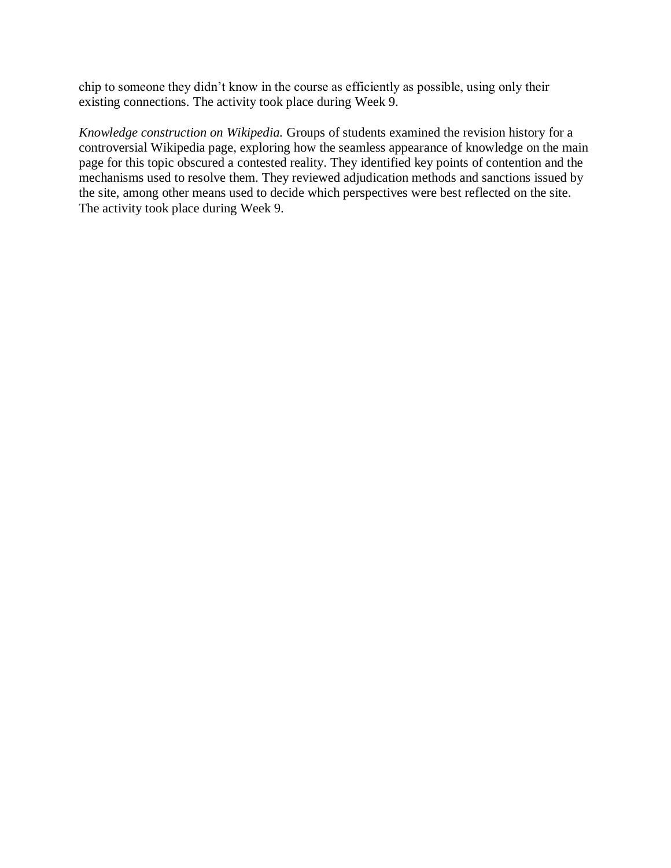chip to someone they didn't know in the course as efficiently as possible, using only their existing connections. The activity took place during Week 9.

*Knowledge construction on Wikipedia.* Groups of students examined the revision history for a controversial Wikipedia page, exploring how the seamless appearance of knowledge on the main page for this topic obscured a contested reality. They identified key points of contention and the mechanisms used to resolve them. They reviewed adjudication methods and sanctions issued by the site, among other means used to decide which perspectives were best reflected on the site. The activity took place during Week 9.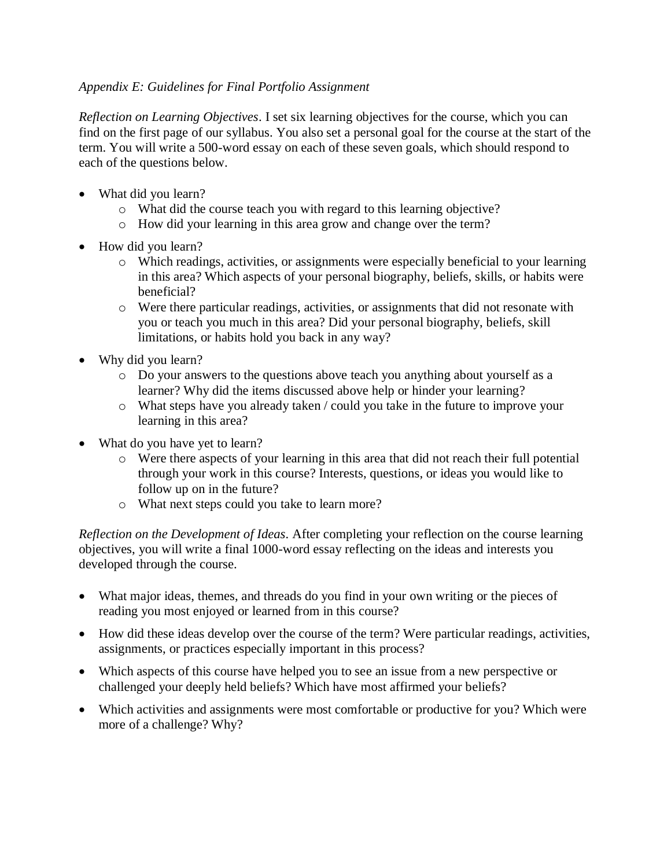### *Appendix E: Guidelines for Final Portfolio Assignment*

*Reflection on Learning Objectives*. I set six learning objectives for the course, which you can find on the first page of our syllabus. You also set a personal goal for the course at the start of the term. You will write a 500-word essay on each of these seven goals, which should respond to each of the questions below.

- What did you learn?
	- o What did the course teach you with regard to this learning objective?
	- o How did your learning in this area grow and change over the term?
- How did you learn?
	- o Which readings, activities, or assignments were especially beneficial to your learning in this area? Which aspects of your personal biography, beliefs, skills, or habits were beneficial?
	- o Were there particular readings, activities, or assignments that did not resonate with you or teach you much in this area? Did your personal biography, beliefs, skill limitations, or habits hold you back in any way?
- Why did you learn?
	- o Do your answers to the questions above teach you anything about yourself as a learner? Why did the items discussed above help or hinder your learning?
	- o What steps have you already taken / could you take in the future to improve your learning in this area?
- What do you have yet to learn?
	- o Were there aspects of your learning in this area that did not reach their full potential through your work in this course? Interests, questions, or ideas you would like to follow up on in the future?
	- o What next steps could you take to learn more?

*Reflection on the Development of Ideas.* After completing your reflection on the course learning objectives, you will write a final 1000-word essay reflecting on the ideas and interests you developed through the course.

- What major ideas, themes, and threads do you find in your own writing or the pieces of reading you most enjoyed or learned from in this course?
- How did these ideas develop over the course of the term? Were particular readings, activities, assignments, or practices especially important in this process?
- Which aspects of this course have helped you to see an issue from a new perspective or challenged your deeply held beliefs? Which have most affirmed your beliefs?
- Which activities and assignments were most comfortable or productive for you? Which were more of a challenge? Why?